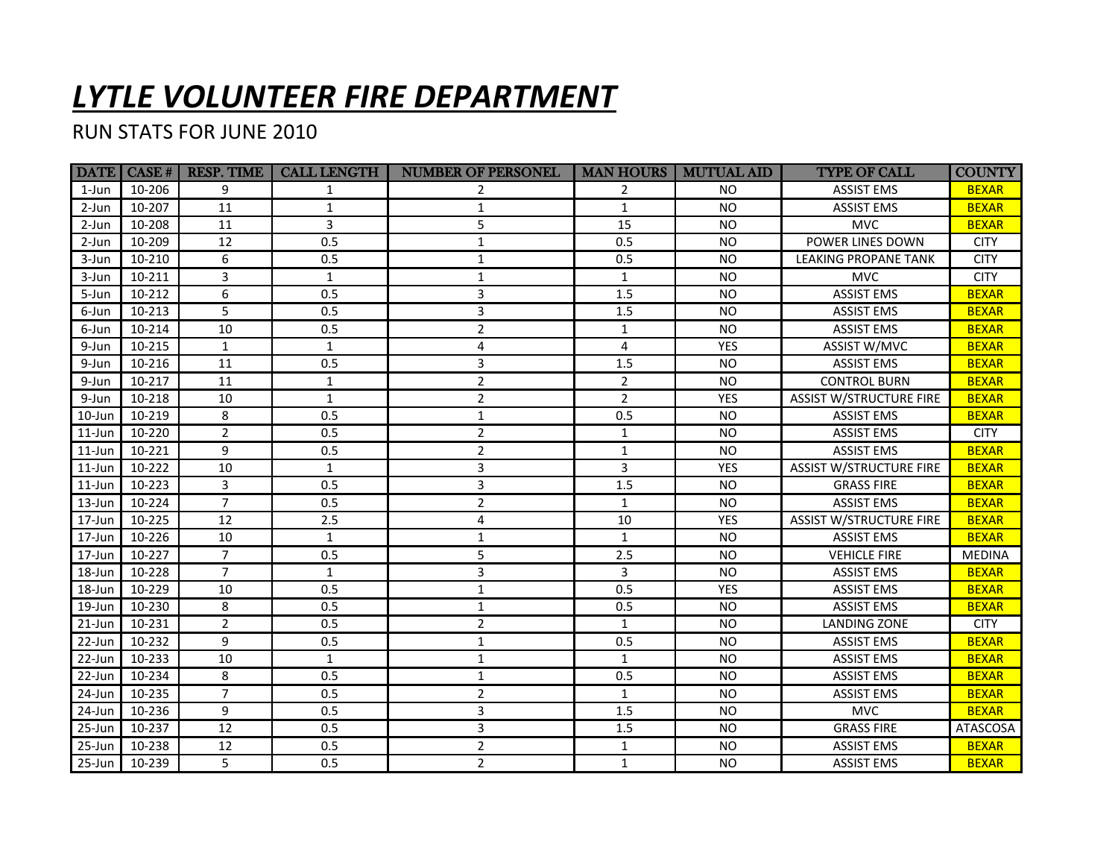## *LYTLE VOLUNTEER FIRE DEPARTMENT*

## RUN STATS FOR JUNE 2010

|            |        | DATE CASE #   RESP. TIME | <b>CALL LENGTH</b> | <b>NUMBER OF PERSONEL</b> | <b>MAN HOURS</b> | <b>MUTUAL AID</b> | <b>TYPE OF CALL</b>            | <b>COUNTY</b>   |
|------------|--------|--------------------------|--------------------|---------------------------|------------------|-------------------|--------------------------------|-----------------|
| $1$ -Jun   | 10-206 | 9                        | 1                  |                           | 2                | <b>NO</b>         | <b>ASSIST EMS</b>              | <b>BEXAR</b>    |
| 2-Jun      | 10-207 | 11                       | $\mathbf{1}$       | 1                         | $\mathbf{1}$     | <b>NO</b>         | <b>ASSIST EMS</b>              | <b>BEXAR</b>    |
| 2-Jun      | 10-208 | 11                       | $\overline{3}$     | 5                         | 15               | <b>NO</b>         | <b>MVC</b>                     | <b>BEXAR</b>    |
| $2-Jun$    | 10-209 | 12                       | 0.5                | $\mathbf{1}$              | 0.5              | <b>NO</b>         | POWER LINES DOWN               | <b>CITY</b>     |
| 3-Jun      | 10-210 | 6                        | 0.5                | $\mathbf{1}$              | 0.5              | <b>NO</b>         | <b>LEAKING PROPANE TANK</b>    | <b>CITY</b>     |
| 3-Jun      | 10-211 | 3                        | $\mathbf{1}$       | 1                         | $\mathbf{1}$     | <b>NO</b>         | <b>MVC</b>                     | <b>CITY</b>     |
| 5-Jun      | 10-212 | 6                        | 0.5                | 3                         | 1.5              | <b>NO</b>         | <b>ASSIST EMS</b>              | <b>BEXAR</b>    |
| 6-Jun      | 10-213 | 5                        | 0.5                | 3                         | 1.5              | <b>NO</b>         | <b>ASSIST EMS</b>              | <b>BEXAR</b>    |
| 6-Jun      | 10-214 | 10                       | 0.5                | $\overline{2}$            | $\mathbf{1}$     | <b>NO</b>         | <b>ASSIST EMS</b>              | <b>BEXAR</b>    |
| 9-Jun      | 10-215 | $\mathbf{1}$             | $\mathbf{1}$       | 4                         | 4                | <b>YES</b>        | ASSIST W/MVC                   | <b>BEXAR</b>    |
| 9-Jun      | 10-216 | 11                       | 0.5                | 3                         | 1.5              | <b>NO</b>         | <b>ASSIST EMS</b>              | <b>BEXAR</b>    |
| 9-Jun      | 10-217 | 11                       | $\mathbf{1}$       | $\overline{2}$            | $\overline{2}$   | <b>NO</b>         | <b>CONTROL BURN</b>            | <b>BEXAR</b>    |
| 9-Jun      | 10-218 | 10                       | $\mathbf{1}$       | $\overline{2}$            | $\overline{2}$   | <b>YES</b>        | <b>ASSIST W/STRUCTURE FIRE</b> | <b>BEXAR</b>    |
| 10-Jun     | 10-219 | 8                        | 0.5                | $\mathbf 1$               | 0.5              | <b>NO</b>         | <b>ASSIST EMS</b>              | <b>BEXAR</b>    |
| $11$ -Jun  | 10-220 | $\overline{2}$           | 0.5                | $\overline{2}$            | $\mathbf{1}$     | <b>NO</b>         | <b>ASSIST EMS</b>              | <b>CITY</b>     |
| $11$ -Jun  | 10-221 | 9                        | 0.5                | $\overline{2}$            | $\mathbf{1}$     | <b>NO</b>         | <b>ASSIST EMS</b>              | <b>BEXAR</b>    |
| $11$ -Jun  | 10-222 | 10                       | $\mathbf{1}$       | 3                         | 3                | <b>YES</b>        | <b>ASSIST W/STRUCTURE FIRE</b> | <b>BEXAR</b>    |
| $11$ -Jun  | 10-223 | 3                        | 0.5                | 3                         | 1.5              | <b>NO</b>         | <b>GRASS FIRE</b>              | <b>BEXAR</b>    |
| 13-Jun     | 10-224 | $\overline{7}$           | 0.5                | $\overline{2}$            | $\mathbf{1}$     | <b>NO</b>         | <b>ASSIST EMS</b>              | <b>BEXAR</b>    |
| 17-Jun     | 10-225 | 12                       | 2.5                | 4                         | 10               | <b>YES</b>        | <b>ASSIST W/STRUCTURE FIRE</b> | <b>BEXAR</b>    |
| 17-Jun     | 10-226 | 10                       | $\mathbf{1}$       | $\mathbf{1}$              | $\mathbf{1}$     | <b>NO</b>         | <b>ASSIST EMS</b>              | <b>BEXAR</b>    |
| 17-Jun     | 10-227 | $\overline{7}$           | 0.5                | 5                         | 2.5              | <b>NO</b>         | <b>VEHICLE FIRE</b>            | <b>MEDINA</b>   |
| 18-Jun     | 10-228 | $\overline{7}$           | $\mathbf{1}$       | 3                         | 3                | <b>NO</b>         | <b>ASSIST EMS</b>              | <b>BEXAR</b>    |
| 18-Jun     | 10-229 | 10                       | 0.5                | $\mathbf 1$               | 0.5              | <b>YES</b>        | <b>ASSIST EMS</b>              | <b>BEXAR</b>    |
| 19-Jun     | 10-230 | 8                        | 0.5                | $\mathbf{1}$              | 0.5              | <b>NO</b>         | <b>ASSIST EMS</b>              | <b>BEXAR</b>    |
| $21$ -Jun  | 10-231 | $\overline{2}$           | 0.5                | $\overline{2}$            | $\mathbf{1}$     | <b>NO</b>         | <b>LANDING ZONE</b>            | <b>CITY</b>     |
| 22-Jun     | 10-232 | 9                        | 0.5                | $\mathbf{1}$              | 0.5              | <b>NO</b>         | <b>ASSIST EMS</b>              | <b>BEXAR</b>    |
| 22-Jun     | 10-233 | 10                       | $\mathbf{1}$       | $\mathbf 1$               | $\mathbf{1}$     | <b>NO</b>         | <b>ASSIST EMS</b>              | <b>BEXAR</b>    |
| 22-Jun     | 10-234 | 8                        | 0.5                | $\mathbf{1}$              | 0.5              | <b>NO</b>         | <b>ASSIST EMS</b>              | <b>BEXAR</b>    |
| 24-Jun     | 10-235 | $\overline{7}$           | 0.5                | $\overline{2}$            | $\mathbf{1}$     | <b>NO</b>         | <b>ASSIST EMS</b>              | <b>BEXAR</b>    |
| 24-Jun     | 10-236 | 9                        | 0.5                | 3                         | 1.5              | <b>NO</b>         | <b>MVC</b>                     | <b>BEXAR</b>    |
| 25-Jun     | 10-237 | 12                       | 0.5                | $\overline{3}$            | $1.5\,$          | <b>NO</b>         | <b>GRASS FIRE</b>              | <b>ATASCOSA</b> |
| $25 - Jun$ | 10-238 | 12                       | 0.5                | $\overline{2}$            | $\mathbf{1}$     | <b>NO</b>         | <b>ASSIST EMS</b>              | <b>BEXAR</b>    |
| 25-Jun     | 10-239 | 5                        | 0.5                | $\overline{2}$            | $\mathbf{1}$     | <b>NO</b>         | <b>ASSIST EMS</b>              | <b>BEXAR</b>    |